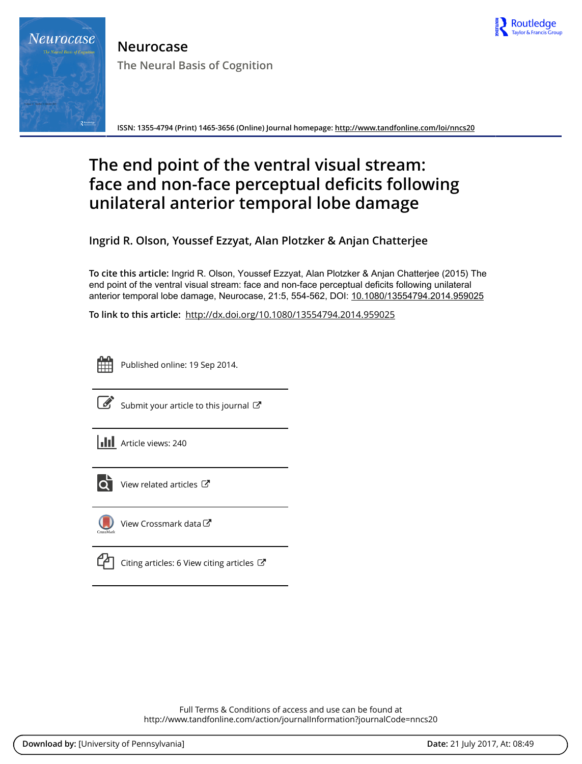

**Neurocase The Neural Basis of Cognition**

**ISSN: 1355-4794 (Print) 1465-3656 (Online) Journal homepage:<http://www.tandfonline.com/loi/nncs20>**

# **The end point of the ventral visual stream: face and non-face perceptual deficits following unilateral anterior temporal lobe damage**

**Ingrid R. Olson, Youssef Ezzyat, Alan Plotzker & Anjan Chatterjee**

**To cite this article:** Ingrid R. Olson, Youssef Ezzyat, Alan Plotzker & Anjan Chatterjee (2015) The end point of the ventral visual stream: face and non-face perceptual deficits following unilateral anterior temporal lobe damage, Neurocase, 21:5, 554-562, DOI: [10.1080/13554794.2014.959025](http://www.tandfonline.com/action/showCitFormats?doi=10.1080/13554794.2014.959025)

**To link to this article:** <http://dx.doi.org/10.1080/13554794.2014.959025>



Neurocase

R

Published online: 19 Sep 2014.



 $\mathbb{Z}$  [Submit your article to this journal](http://www.tandfonline.com/action/authorSubmission?journalCode=nncs20&show=instructions)  $\mathbb{Z}$ 





 $\overline{Q}$  [View related articles](http://www.tandfonline.com/doi/mlt/10.1080/13554794.2014.959025)  $\mathbb{Z}$ 



[View Crossmark data](http://crossmark.crossref.org/dialog/?doi=10.1080/13554794.2014.959025&domain=pdf&date_stamp=2014-09-19)<sup>C</sup>

 $\Box$  [Citing articles: 6 View citing articles](http://www.tandfonline.com/doi/citedby/10.1080/13554794.2014.959025#tabModule)  $\Box$ 

Full Terms & Conditions of access and use can be found at <http://www.tandfonline.com/action/journalInformation?journalCode=nncs20>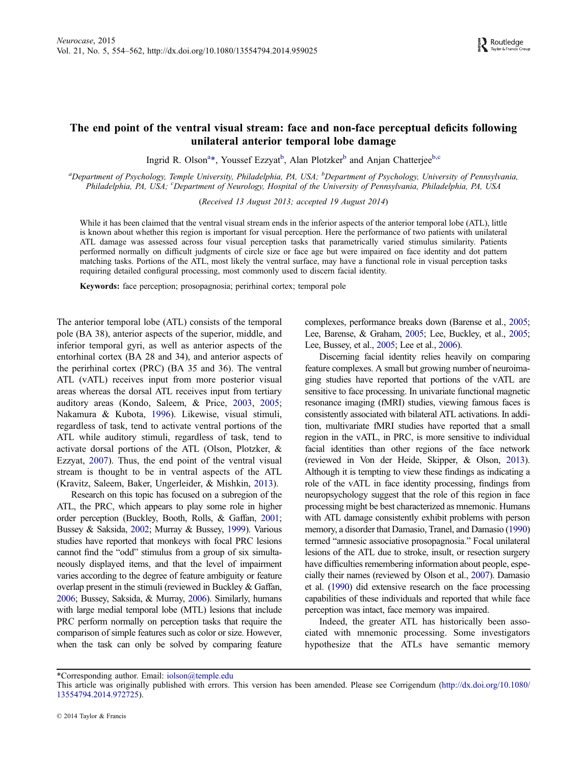## The end point of the ventral visual stream: face and non-face perceptual deficits following unilateral anterior temporal lobe damage

Ingrid R. Olson<sup>a</sup>\*, Youssef Ezzyat<sup>b</sup>, Alan Plotzker<sup>b</sup> and Anjan Chatterjee<sup>b,c</sup>

<sup>a</sup>Department of Psychology, Temple University, Philadelphia, PA, USA; <sup>b</sup>Department of Psychology, University of Pennsylvania, Philadelphia, PA, USA; <sup>c</sup>Department of Neurology, Hospital of the University of Pennsylvania, Philadelphia, PA, USA

(Received 13 August 2013; accepted 19 August 2014)

While it has been claimed that the ventral visual stream ends in the inferior aspects of the anterior temporal lobe (ATL), little is known about whether this region is important for visual perception. Here the performance of two patients with unilateral ATL damage was assessed across four visual perception tasks that parametrically varied stimulus similarity. Patients performed normally on difficult judgments of circle size or face age but were impaired on face identity and dot pattern matching tasks. Portions of the ATL, most likely the ventral surface, may have a functional role in visual perception tasks requiring detailed configural processing, most commonly used to discern facial identity.

Keywords: face perception; prosopagnosia; perirhinal cortex; temporal pole

The anterior temporal lobe (ATL) consists of the temporal pole (BA 38), anterior aspects of the superior, middle, and inferior temporal gyri, as well as anterior aspects of the entorhinal cortex (BA 28 and 34), and anterior aspects of the perirhinal cortex (PRC) (BA 35 and 36). The ventral ATL (vATL) receives input from more posterior visual areas whereas the dorsal ATL receives input from tertiary auditory areas (Kondo, Saleem, & Price, [2003,](#page-8-0) [2005](#page-8-0); Nakamura & Kubota, [1996](#page-9-0)). Likewise, visual stimuli, regardless of task, tend to activate ventral portions of the ATL while auditory stimuli, regardless of task, tend to activate dorsal portions of the ATL (Olson, Plotzker, & Ezzyat, [2007\)](#page-9-0). Thus, the end point of the ventral visual stream is thought to be in ventral aspects of the ATL (Kravitz, Saleem, Baker, Ungerleider, & Mishkin, [2013\)](#page-9-0).

Research on this topic has focused on a subregion of the ATL, the PRC, which appears to play some role in higher order perception (Buckley, Booth, Rolls, & Gaffan, [2001](#page-8-0); Bussey & Saksida, [2002;](#page-8-0) Murray & Bussey, [1999](#page-9-0)). Various studies have reported that monkeys with focal PRC lesions cannot find the "odd" stimulus from a group of six simultaneously displayed items, and that the level of impairment varies according to the degree of feature ambiguity or feature overlap present in the stimuli (reviewed in Buckley & Gaffan, [2006](#page-8-0); Bussey, Saksida, & Murray, [2006\)](#page-8-0). Similarly, humans with large medial temporal lobe (MTL) lesions that include PRC perform normally on perception tasks that require the comparison of simple features such as color or size. However, when the task can only be solved by comparing feature

complexes, performance breaks down (Barense et al., [2005;](#page-8-0) Lee, Barense, & Graham, [2005](#page-9-0); Lee, Buckley, et al., [2005;](#page-9-0) Lee, Bussey, et al., [2005](#page-9-0); Lee et al., [2006\)](#page-9-0).

Discerning facial identity relies heavily on comparing feature complexes. A small but growing number of neuroimaging studies have reported that portions of the vATL are sensitive to face processing. In univariate functional magnetic resonance imaging (fMRI) studies, viewing famous faces is consistently associated with bilateral ATL activations. In addition, multivariate fMRI studies have reported that a small region in the vATL, in PRC, is more sensitive to individual facial identities than other regions of the face network (reviewed in Von der Heide, Skipper, & Olson, [2013\)](#page-9-0). Although it is tempting to view these findings as indicating a role of the vATL in face identity processing, findings from neuropsychology suggest that the role of this region in face processing might be best characterized as mnemonic. Humans with ATL damage consistently exhibit problems with person memory, a disorder that Damasio, Tranel, and Damasio [\(1990](#page-8-0)) termed "amnesic associative prosopagnosia." Focal unilateral lesions of the ATL due to stroke, insult, or resection surgery have difficulties remembering information about people, especially their names (reviewed by Olson et al., [2007](#page-9-0)). Damasio et al. ([1990\)](#page-8-0) did extensive research on the face processing capabilities of these individuals and reported that while face perception was intact, face memory was impaired.

Indeed, the greater ATL has historically been associated with mnemonic processing. Some investigators hypothesize that the ATLs have semantic memory

<sup>\*</sup>Corresponding author. Email: iolson@temple.edu

This article was originally published with errors. This version has been amended. Please see Corrigendum ([http://dx.doi.org/10.1080/](http://dx.doi.org/10.1080/13554794.2014.972725) [13554794.2014.972725](http://dx.doi.org/10.1080/13554794.2014.972725)).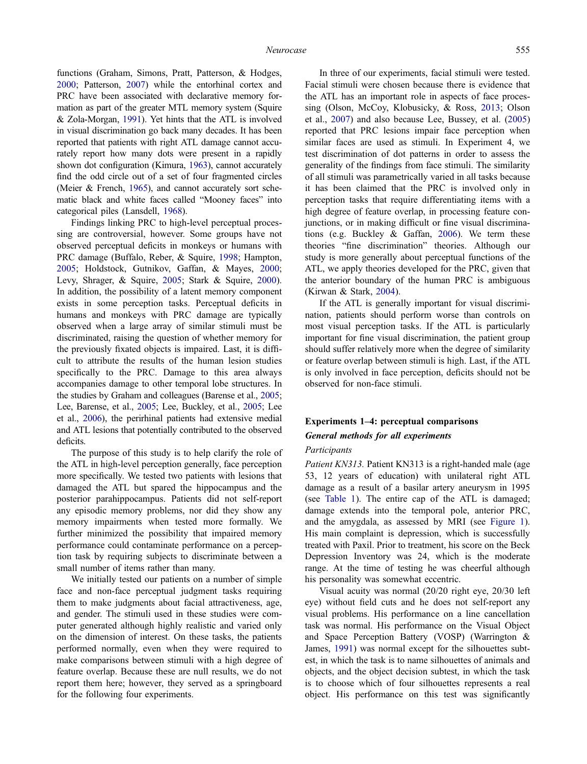functions (Graham, Simons, Pratt, Patterson, & Hodges, [2000;](#page-8-0) Patterson, [2007\)](#page-9-0) while the entorhinal cortex and PRC have been associated with declarative memory formation as part of the greater MTL memory system (Squire & Zola-Morgan, [1991\)](#page-9-0). Yet hints that the ATL is involved in visual discrimination go back many decades. It has been reported that patients with right ATL damage cannot accurately report how many dots were present in a rapidly shown dot configuration (Kimura, [1963\)](#page-8-0), cannot accurately find the odd circle out of a set of four fragmented circles (Meier & French, [1965](#page-9-0)), and cannot accurately sort schematic black and white faces called "Mooney faces" into categorical piles (Lansdell, [1968](#page-9-0)).

Findings linking PRC to high-level perceptual processing are controversial, however. Some groups have not observed perceptual deficits in monkeys or humans with PRC damage (Buffalo, Reber, & Squire, [1998](#page-8-0); Hampton, [2005;](#page-8-0) Holdstock, Gutnikov, Gaffan, & Mayes, [2000](#page-8-0); Levy, Shrager, & Squire, [2005;](#page-9-0) Stark & Squire, [2000](#page-9-0)). In addition, the possibility of a latent memory component exists in some perception tasks. Perceptual deficits in humans and monkeys with PRC damage are typically observed when a large array of similar stimuli must be discriminated, raising the question of whether memory for the previously fixated objects is impaired. Last, it is difficult to attribute the results of the human lesion studies specifically to the PRC. Damage to this area always accompanies damage to other temporal lobe structures. In the studies by Graham and colleagues (Barense et al., [2005](#page-8-0); Lee, Barense, et al., [2005](#page-9-0); Lee, Buckley, et al., [2005;](#page-9-0) Lee et al., [2006\)](#page-9-0), the perirhinal patients had extensive medial and ATL lesions that potentially contributed to the observed deficits.

The purpose of this study is to help clarify the role of the ATL in high-level perception generally, face perception more specifically. We tested two patients with lesions that damaged the ATL but spared the hippocampus and the posterior parahippocampus. Patients did not self-report any episodic memory problems, nor did they show any memory impairments when tested more formally. We further minimized the possibility that impaired memory performance could contaminate performance on a perception task by requiring subjects to discriminate between a small number of items rather than many.

We initially tested our patients on a number of simple face and non-face perceptual judgment tasks requiring them to make judgments about facial attractiveness, age, and gender. The stimuli used in these studies were computer generated although highly realistic and varied only on the dimension of interest. On these tasks, the patients performed normally, even when they were required to make comparisons between stimuli with a high degree of feature overlap. Because these are null results, we do not report them here; however, they served as a springboard for the following four experiments.

In three of our experiments, facial stimuli were tested. Facial stimuli were chosen because there is evidence that the ATL has an important role in aspects of face processing (Olson, McCoy, Klobusicky, & Ross, [2013](#page-9-0); Olson et al., [2007\)](#page-9-0) and also because Lee, Bussey, et al. [\(2005](#page-9-0)) reported that PRC lesions impair face perception when similar faces are used as stimuli. In Experiment 4, we test discrimination of dot patterns in order to assess the generality of the findings from face stimuli. The similarity of all stimuli was parametrically varied in all tasks because it has been claimed that the PRC is involved only in perception tasks that require differentiating items with a high degree of feature overlap, in processing feature conjunctions, or in making difficult or fine visual discriminations (e.g. Buckley & Gaffan, [2006\)](#page-8-0). We term these theories "fine discrimination" theories. Although our study is more generally about perceptual functions of the ATL, we apply theories developed for the PRC, given that the anterior boundary of the human PRC is ambiguous (Kirwan & Stark, [2004](#page-8-0)).

If the ATL is generally important for visual discrimination, patients should perform worse than controls on most visual perception tasks. If the ATL is particularly important for fine visual discrimination, the patient group should suffer relatively more when the degree of similarity or feature overlap between stimuli is high. Last, if the ATL is only involved in face perception, deficits should not be observed for non-face stimuli.

## Experiments 1–4: perceptual comparisons General methods for all experiments

#### Participants

Patient KN313. Patient KN313 is a right-handed male (age 53, 12 years of education) with unilateral right ATL damage as a result of a basilar artery aneurysm in 1995 (see [Table 1](#page-3-0)). The entire cap of the ATL is damaged; damage extends into the temporal pole, anterior PRC, and the amygdala, as assessed by MRI (see [Figure 1\)](#page-3-0). His main complaint is depression, which is successfully treated with Paxil. Prior to treatment, his score on the Beck Depression Inventory was 24, which is the moderate range. At the time of testing he was cheerful although his personality was somewhat eccentric.

Visual acuity was normal (20/20 right eye, 20/30 left eye) without field cuts and he does not self-report any visual problems. His performance on a line cancellation task was normal. His performance on the Visual Object and Space Perception Battery (VOSP) (Warrington & James, [1991\)](#page-9-0) was normal except for the silhouettes subtest, in which the task is to name silhouettes of animals and objects, and the object decision subtest, in which the task is to choose which of four silhouettes represents a real object. His performance on this test was significantly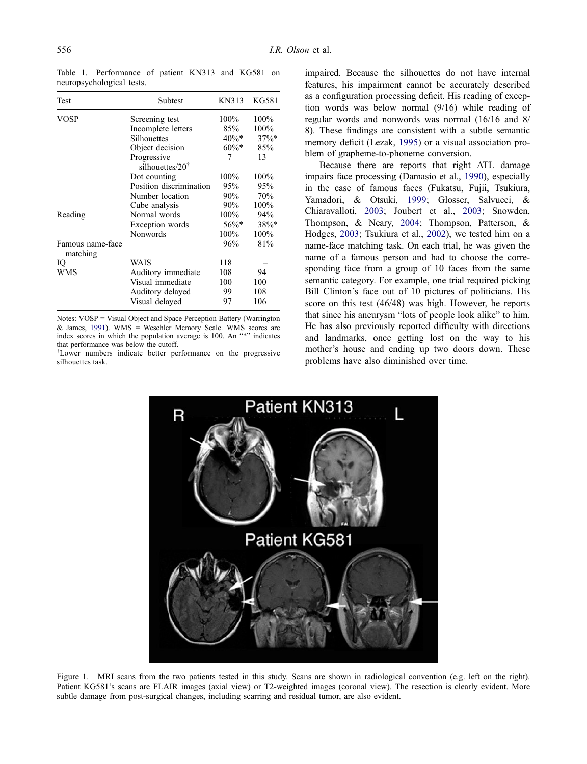| Test                         | Subtest                                    | KN313    | KG581    |
|------------------------------|--------------------------------------------|----------|----------|
| VOSP                         | Screening test                             | $100\%$  | 100%     |
|                              | Incomplete letters                         | 85%      | 100%     |
|                              | <b>Silhouettes</b>                         | $40\% *$ | $37\%$ * |
|                              | Object decision                            | $60\%$ * | 85%      |
|                              | Progressive<br>silhouettes/20 <sup>†</sup> | 7        | 13       |
|                              | Dot counting                               | 100%     | 100%     |
|                              | Position discrimination                    | 95%      | 95%      |
|                              | Number location                            | 90%      | 70%      |
|                              | Cube analysis                              | 90%      | 100%     |
| Reading                      | Normal words                               | 100%     | 94%      |
|                              | Exception words                            | $56\%$ * | $38\%$ * |
|                              | Nonwords                                   | $100\%$  | 100%     |
| Famous name-face<br>matching |                                            | 96%      | 81%      |
| IQ                           | WAIS                                       | 118      |          |
| <b>WMS</b>                   | Auditory immediate                         | 108      | 94       |
|                              | Visual immediate                           | 100      | 100      |
|                              | Auditory delayed                           | 99       | 108      |
|                              | Visual delayed                             | 97       | 106      |

<span id="page-3-0"></span>Table 1. Performance of patient KN313 and KG581 on neuropsychological tests.

Notes: VOSP = Visual Object and Space Perception Battery (Warrington  $&$  James, [1991\)](#page-9-0). WMS = Weschler Memory Scale. WMS scores are index scores in which the population average is 100. An "\*" indicates that performance was below the cutoff.

<sup>†</sup>Lower numbers indicate better performance on the progressive silhouettes task.

impaired. Because the silhouettes do not have internal features, his impairment cannot be accurately described as a configuration processing deficit. His reading of exception words was below normal (9/16) while reading of regular words and nonwords was normal (16/16 and 8/ 8). These findings are consistent with a subtle semantic memory deficit (Lezak, [1995](#page-9-0)) or a visual association problem of grapheme-to-phoneme conversion.

Because there are reports that right ATL damage impairs face processing (Damasio et al., [1990](#page-8-0)), especially in the case of famous faces (Fukatsu, Fujii, Tsukiura, Yamadori, & Otsuki, [1999;](#page-8-0) Glosser, Salvucci, & Chiaravalloti, [2003](#page-8-0); Joubert et al., [2003;](#page-8-0) Snowden, Thompson, & Neary, [2004;](#page-9-0) Thompson, Patterson, & Hodges, [2003;](#page-9-0) Tsukiura et al., [2002](#page-9-0)), we tested him on a name-face matching task. On each trial, he was given the name of a famous person and had to choose the corresponding face from a group of 10 faces from the same semantic category. For example, one trial required picking Bill Clinton's face out of 10 pictures of politicians. His score on this test (46/48) was high. However, he reports that since his aneurysm "lots of people look alike" to him. He has also previously reported difficulty with directions and landmarks, once getting lost on the way to his mother's house and ending up two doors down. These problems have also diminished over time.

Patient KN313 R Patient KG581

Figure 1. MRI scans from the two patients tested in this study. Scans are shown in radiological convention (e.g. left on the right). Patient KG581's scans are FLAIR images (axial view) or T2-weighted images (coronal view). The resection is clearly evident. More subtle damage from post-surgical changes, including scarring and residual tumor, are also evident.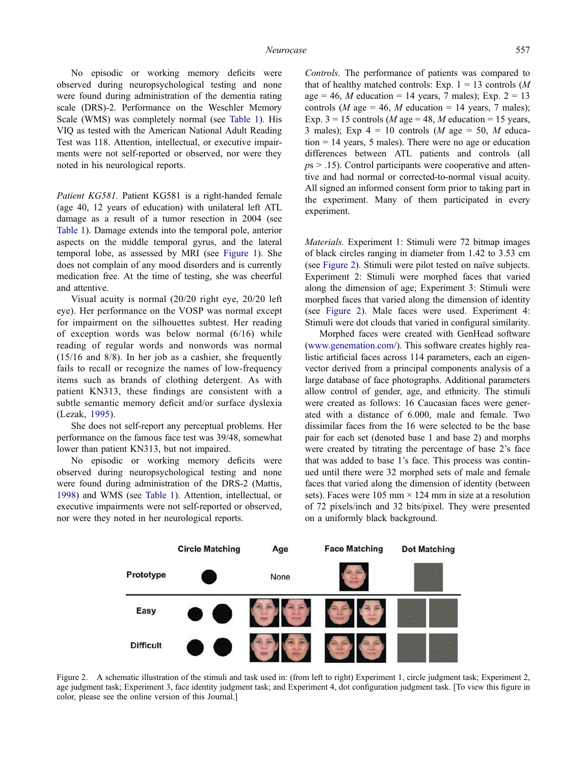No episodic or working memory deficits were observed during neuropsychological testing and none were found during administration of the dementia rating scale (DRS)-2. Performance on the Weschler Memory Scale (WMS) was completely normal (see [Table 1](#page-3-0)). His VIQ as tested with the American National Adult Reading Test was 118. Attention, intellectual, or executive impairments were not self-reported or observed, nor were they noted in his neurological reports.

Patient KG581. Patient KG581 is a right-handed female (age 40, 12 years of education) with unilateral left ATL damage as a result of a tumor resection in 2004 (see [Table 1\)](#page-3-0). Damage extends into the temporal pole, anterior aspects on the middle temporal gyrus, and the lateral temporal lobe, as assessed by MRI (see [Figure 1\)](#page-3-0). She does not complain of any mood disorders and is currently medication free. At the time of testing, she was cheerful and attentive.

Visual acuity is normal (20/20 right eye, 20/20 left eye). Her performance on the VOSP was normal except for impairment on the silhouettes subtest. Her reading of exception words was below normal (6/16) while reading of regular words and nonwords was normal (15/16 and 8/8). In her job as a cashier, she frequently fails to recall or recognize the names of low-frequency items such as brands of clothing detergent. As with patient KN313, these findings are consistent with a subtle semantic memory deficit and/or surface dyslexia (Lezak, [1995](#page-9-0)).

She does not self-report any perceptual problems. Her performance on the famous face test was 39/48, somewhat lower than patient KN313, but not impaired.

No episodic or working memory deficits were observed during neuropsychological testing and none were found during administration of the DRS-2 (Mattis, [1998\)](#page-9-0) and WMS (see [Table 1\)](#page-3-0). Attention, intellectual, or executive impairments were not self-reported or observed, nor were they noted in her neurological reports.

Controls. The performance of patients was compared to that of healthy matched controls: Exp.  $1 = 13$  controls (M) age = 46, M education = 14 years, 7 males); Exp.  $2 = 13$ controls (*M* age = 46, *M* education = 14 years, 7 males); Exp.  $3 = 15$  controls (*M* age = 48, *M* education = 15 years, 3 males); Exp  $4 = 10$  controls (*M* age = 50, *M* education = 14 years, 5 males). There were no age or education differences between ATL patients and controls (all  $ps > .15$ ). Control participants were cooperative and attentive and had normal or corrected-to-normal visual acuity. All signed an informed consent form prior to taking part in the experiment. Many of them participated in every experiment.

Materials. Experiment 1: Stimuli were 72 bitmap images of black circles ranging in diameter from 1.42 to 3.53 cm (see Figure 2). Stimuli were pilot tested on naïve subjects. Experiment 2: Stimuli were morphed faces that varied along the dimension of age; Experiment 3: Stimuli were morphed faces that varied along the dimension of identity (see Figure 2). Male faces were used. Experiment 4: Stimuli were dot clouds that varied in configural similarity.

Morphed faces were created with GenHead software ([www.genemation.com](http://www.genemation.com)/). This software creates highly realistic artificial faces across 114 parameters, each an eigenvector derived from a principal components analysis of a large database of face photographs. Additional parameters allow control of gender, age, and ethnicity. The stimuli were created as follows: 16 Caucasian faces were generated with a distance of 6.000, male and female. Two dissimilar faces from the 16 were selected to be the base pair for each set (denoted base 1 and base 2) and morphs were created by titrating the percentage of base 2's face that was added to base 1's face. This process was continued until there were 32 morphed sets of male and female faces that varied along the dimension of identity (between sets). Faces were 105 mm  $\times$  124 mm in size at a resolution of 72 pixels/inch and 32 bits/pixel. They were presented on a uniformly black background.



Figure 2. A schematic illustration of the stimuli and task used in: (from left to right) Experiment 1, circle judgment task; Experiment 2, age judgment task; Experiment 3, face identity judgment task; and Experiment 4, dot configuration judgment task. [To view this figure in color, please see the online version of this Journal.]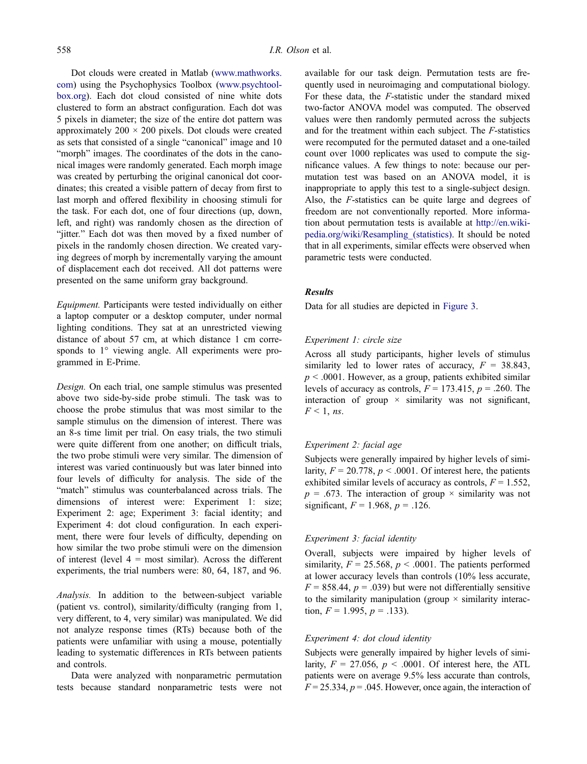Dot clouds were created in Matlab ([www.mathworks.](http://www.mathworks.com) [com](http://www.mathworks.com)) using the Psychophysics Toolbox ([www.psychtool](http://www.psychtoolbox.org)[box.org\)](http://www.psychtoolbox.org). Each dot cloud consisted of nine white dots clustered to form an abstract configuration. Each dot was 5 pixels in diameter; the size of the entire dot pattern was approximately  $200 \times 200$  pixels. Dot clouds were created as sets that consisted of a single "canonical" image and 10 "morph" images. The coordinates of the dots in the canonical images were randomly generated. Each morph image was created by perturbing the original canonical dot coordinates; this created a visible pattern of decay from first to last morph and offered flexibility in choosing stimuli for the task. For each dot, one of four directions (up, down, left, and right) was randomly chosen as the direction of "jitter." Each dot was then moved by a fixed number of pixels in the randomly chosen direction. We created varying degrees of morph by incrementally varying the amount of displacement each dot received. All dot patterns were presented on the same uniform gray background.

Equipment. Participants were tested individually on either a laptop computer or a desktop computer, under normal lighting conditions. They sat at an unrestricted viewing distance of about 57 cm, at which distance 1 cm corresponds to 1° viewing angle. All experiments were programmed in E-Prime.

Design. On each trial, one sample stimulus was presented above two side-by-side probe stimuli. The task was to choose the probe stimulus that was most similar to the sample stimulus on the dimension of interest. There was an 8-s time limit per trial. On easy trials, the two stimuli were quite different from one another; on difficult trials, the two probe stimuli were very similar. The dimension of interest was varied continuously but was later binned into four levels of difficulty for analysis. The side of the "match" stimulus was counterbalanced across trials. The dimensions of interest were: Experiment 1: size; Experiment 2: age; Experiment 3: facial identity; and Experiment 4: dot cloud configuration. In each experiment, there were four levels of difficulty, depending on how similar the two probe stimuli were on the dimension of interest (level  $4 = \text{most similar}$ ). Across the different experiments, the trial numbers were: 80, 64, 187, and 96.

Analysis. In addition to the between-subject variable (patient vs. control), similarity/difficulty (ranging from 1, very different, to 4, very similar) was manipulated. We did not analyze response times (RTs) because both of the patients were unfamiliar with using a mouse, potentially leading to systematic differences in RTs between patients and controls.

Data were analyzed with nonparametric permutation tests because standard nonparametric tests were not available for our task deign. Permutation tests are frequently used in neuroimaging and computational biology. For these data, the F-statistic under the standard mixed two-factor ANOVA model was computed. The observed values were then randomly permuted across the subjects and for the treatment within each subject. The F-statistics were recomputed for the permuted dataset and a one-tailed count over 1000 replicates was used to compute the significance values. A few things to note: because our permutation test was based on an ANOVA model, it is inappropriate to apply this test to a single-subject design. Also, the  $F$ -statistics can be quite large and degrees of freedom are not conventionally reported. More information about permutation tests is available at [http://en.wiki](http://en.wikipedia.org/wiki/Resampling_(statistics))[pedia.org/wiki/Resampling\\_\(statistics\)](http://en.wikipedia.org/wiki/Resampling_(statistics)). It should be noted that in all experiments, similar effects were observed when parametric tests were conducted.

## Results

Data for all studies are depicted in [Figure 3](#page-6-0).

#### Experiment 1: circle size

Across all study participants, higher levels of stimulus similarity led to lower rates of accuracy,  $F = 38.843$ ,  $p \leq 0.0001$ . However, as a group, patients exhibited similar levels of accuracy as controls,  $F = 173.415$ ,  $p = .260$ . The interaction of group  $\times$  similarity was not significant,  $F < 1$ , ns.

#### Experiment 2: facial age

Subjects were generally impaired by higher levels of similarity,  $F = 20.778$ ,  $p < .0001$ . Of interest here, the patients exhibited similar levels of accuracy as controls,  $F = 1.552$ ,  $p = .673$ . The interaction of group  $\times$  similarity was not significant,  $F = 1.968$ ,  $p = .126$ .

#### Experiment 3: facial identity

Overall, subjects were impaired by higher levels of similarity,  $F = 25.568$ ,  $p < .0001$ . The patients performed at lower accuracy levels than controls (10% less accurate,  $F = 858.44$ ,  $p = .039$ ) but were not differentially sensitive to the similarity manipulation (group  $\times$  similarity interaction,  $F = 1.995$ ,  $p = .133$ ).

## Experiment 4: dot cloud identity

Subjects were generally impaired by higher levels of similarity,  $F = 27.056$ ,  $p < .0001$ . Of interest here, the ATL patients were on average 9.5% less accurate than controls,  $F = 25.334$ ,  $p = .045$ . However, once again, the interaction of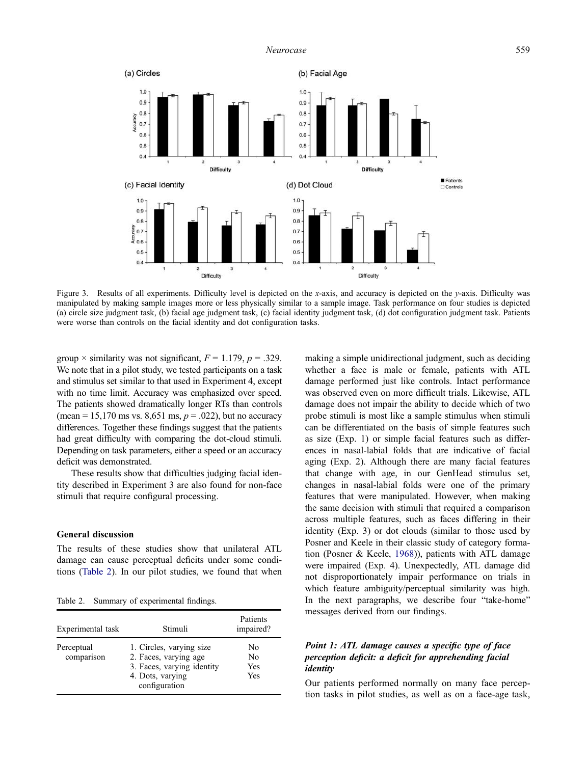<span id="page-6-0"></span>

Figure 3. Results of all experiments. Difficulty level is depicted on the x-axis, and accuracy is depicted on the y-axis. Difficulty was manipulated by making sample images more or less physically similar to a sample image. Task performance on four studies is depicted (a) circle size judgment task, (b) facial age judgment task, (c) facial identity judgment task, (d) dot configuration judgment task. Patients were worse than controls on the facial identity and dot configuration tasks.

group  $\times$  similarity was not significant,  $F = 1.179$ ,  $p = .329$ . We note that in a pilot study, we tested participants on a task and stimulus set similar to that used in Experiment 4, except with no time limit. Accuracy was emphasized over speed. The patients showed dramatically longer RTs than controls (mean = 15,170 ms vs. 8,651 ms,  $p = .022$ ), but no accuracy differences. Together these findings suggest that the patients had great difficulty with comparing the dot-cloud stimuli. Depending on task parameters, either a speed or an accuracy deficit was demonstrated.

These results show that difficulties judging facial identity described in Experiment 3 are also found for non-face stimuli that require configural processing.

#### General discussion

The results of these studies show that unilateral ATL damage can cause perceptual deficits under some conditions (Table 2). In our pilot studies, we found that when

Table 2. Summary of experimental findings.

| Experimental task        | Stimuli                                                                                                              | Patients<br>impaired?  |
|--------------------------|----------------------------------------------------------------------------------------------------------------------|------------------------|
| Perceptual<br>comparison | 1. Circles, varying size<br>2. Faces, varying age<br>3. Faces, varying identity<br>4. Dots, varying<br>configuration | No<br>No<br>Yes<br>Yes |

making a simple unidirectional judgment, such as deciding whether a face is male or female, patients with ATL damage performed just like controls. Intact performance was observed even on more difficult trials. Likewise, ATL damage does not impair the ability to decide which of two probe stimuli is most like a sample stimulus when stimuli can be differentiated on the basis of simple features such as size (Exp. 1) or simple facial features such as differences in nasal-labial folds that are indicative of facial aging (Exp. 2). Although there are many facial features that change with age, in our GenHead stimulus set, changes in nasal-labial folds were one of the primary features that were manipulated. However, when making the same decision with stimuli that required a comparison across multiple features, such as faces differing in their identity (Exp. 3) or dot clouds (similar to those used by Posner and Keele in their classic study of category formation (Posner & Keele, [1968\)](#page-9-0)), patients with ATL damage were impaired (Exp. 4). Unexpectedly, ATL damage did not disproportionately impair performance on trials in which feature ambiguity/perceptual similarity was high. In the next paragraphs, we describe four "take-home" messages derived from our findings.

## Point 1: ATL damage causes a specific type of face perception deficit: a deficit for apprehending facial identity

Our patients performed normally on many face perception tasks in pilot studies, as well as on a face-age task,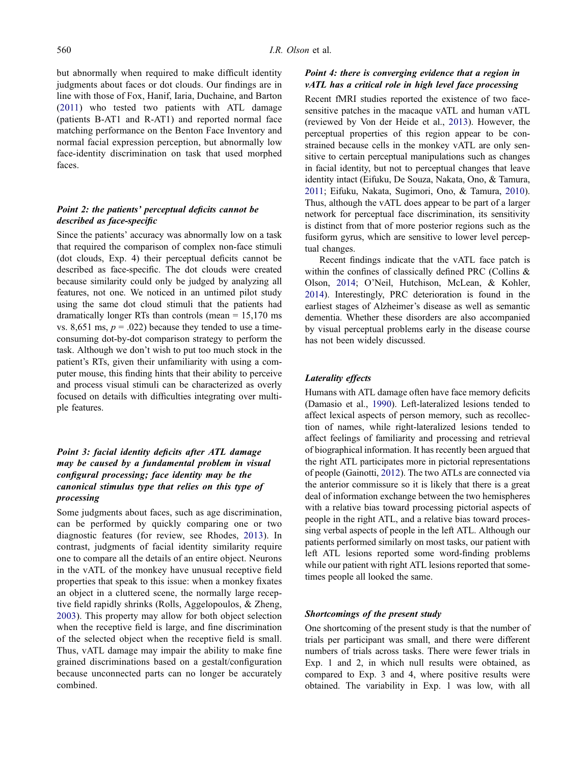but abnormally when required to make difficult identity judgments about faces or dot clouds. Our findings are in line with those of Fox, Hanif, Iaria, Duchaine, and Barton [\(2011](#page-8-0)) who tested two patients with ATL damage (patients B-AT1 and R-AT1) and reported normal face matching performance on the Benton Face Inventory and normal facial expression perception, but abnormally low face-identity discrimination on task that used morphed faces.

## Point 2: the patients' perceptual deficits cannot be described as face-specific

Since the patients' accuracy was abnormally low on a task that required the comparison of complex non-face stimuli (dot clouds, Exp. 4) their perceptual deficits cannot be described as face-specific. The dot clouds were created because similarity could only be judged by analyzing all features, not one. We noticed in an untimed pilot study using the same dot cloud stimuli that the patients had dramatically longer RTs than controls (mean = 15,170 ms vs. 8,651 ms,  $p = .022$ ) because they tended to use a timeconsuming dot-by-dot comparison strategy to perform the task. Although we don't wish to put too much stock in the patient's RTs, given their unfamiliarity with using a computer mouse, this finding hints that their ability to perceive and process visual stimuli can be characterized as overly focused on details with difficulties integrating over multiple features.

## Point 3: facial identity deficits after ATL damage may be caused by a fundamental problem in visual configural processing; face identity may be the canonical stimulus type that relies on this type of processing

Some judgments about faces, such as age discrimination, can be performed by quickly comparing one or two diagnostic features (for review, see Rhodes, [2013](#page-9-0)). In contrast, judgments of facial identity similarity require one to compare all the details of an entire object. Neurons in the vATL of the monkey have unusual receptive field properties that speak to this issue: when a monkey fixates an object in a cluttered scene, the normally large receptive field rapidly shrinks (Rolls, Aggelopoulos, & Zheng, [2003](#page-9-0)). This property may allow for both object selection when the receptive field is large, and fine discrimination of the selected object when the receptive field is small. Thus, vATL damage may impair the ability to make fine grained discriminations based on a gestalt/configuration because unconnected parts can no longer be accurately combined.

## Point 4: there is converging evidence that a region in vATL has a critical role in high level face processing

Recent fMRI studies reported the existence of two facesensitive patches in the macaque vATL and human vATL (reviewed by Von der Heide et al., [2013](#page-9-0)). However, the perceptual properties of this region appear to be constrained because cells in the monkey vATL are only sensitive to certain perceptual manipulations such as changes in facial identity, but not to perceptual changes that leave identity intact (Eifuku, De Souza, Nakata, Ono, & Tamura, [2011](#page-8-0); Eifuku, Nakata, Sugimori, Ono, & Tamura, [2010\)](#page-8-0). Thus, although the vATL does appear to be part of a larger network for perceptual face discrimination, its sensitivity is distinct from that of more posterior regions such as the fusiform gyrus, which are sensitive to lower level perceptual changes.

Recent findings indicate that the vATL face patch is within the confines of classically defined PRC (Collins & Olson, [2014](#page-8-0); O'Neil, Hutchison, McLean, & Kohler, [2014\)](#page-9-0). Interestingly, PRC deterioration is found in the earliest stages of Alzheimer's disease as well as semantic dementia. Whether these disorders are also accompanied by visual perceptual problems early in the disease course has not been widely discussed.

## Laterality effects

Humans with ATL damage often have face memory deficits (Damasio et al., [1990](#page-8-0)). Left-lateralized lesions tended to affect lexical aspects of person memory, such as recollection of names, while right-lateralized lesions tended to affect feelings of familiarity and processing and retrieval of biographical information. It has recently been argued that the right ATL participates more in pictorial representations of people (Gainotti, [2012\)](#page-8-0). The two ATLs are connected via the anterior commissure so it is likely that there is a great deal of information exchange between the two hemispheres with a relative bias toward processing pictorial aspects of people in the right ATL, and a relative bias toward processing verbal aspects of people in the left ATL. Although our patients performed similarly on most tasks, our patient with left ATL lesions reported some word-finding problems while our patient with right ATL lesions reported that sometimes people all looked the same.

#### Shortcomings of the present study

One shortcoming of the present study is that the number of trials per participant was small, and there were different numbers of trials across tasks. There were fewer trials in Exp. 1 and 2, in which null results were obtained, as compared to Exp. 3 and 4, where positive results were obtained. The variability in Exp. 1 was low, with all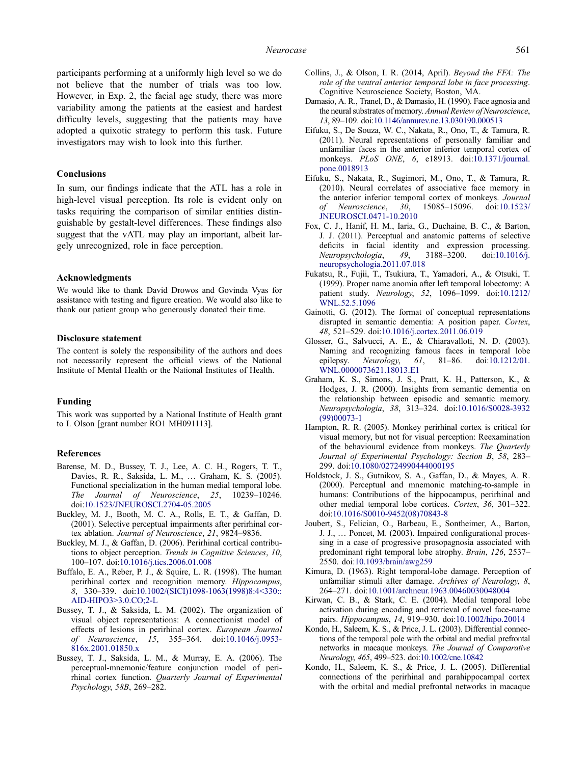<span id="page-8-0"></span>participants performing at a uniformly high level so we do not believe that the number of trials was too low. However, in Exp. 2, the facial age study, there was more variability among the patients at the easiest and hardest difficulty levels, suggesting that the patients may have adopted a quixotic strategy to perform this task. Future investigators may wish to look into this further.

## Conclusions

In sum, our findings indicate that the ATL has a role in high-level visual perception. Its role is evident only on tasks requiring the comparison of similar entities distinguishable by gestalt-level differences. These findings also suggest that the vATL may play an important, albeit largely unrecognized, role in face perception.

#### Acknowledgments

We would like to thank David Drowos and Govinda Vyas for assistance with testing and figure creation. We would also like to thank our patient group who generously donated their time.

#### Disclosure statement

The content is solely the responsibility of the authors and does not necessarily represent the official views of the National Institute of Mental Health or the National Institutes of Health.

#### Funding

This work was supported by a National Institute of Health grant to I. Olson [grant number RO1 MH091113].

#### References

- Barense, M. D., Bussey, T. J., Lee, A. C. H., Rogers, T. T., Davies, R. R., Saksida, L. M., … Graham, K. S. (2005). Functional specialization in the human medial temporal lobe. The Journal of Neuroscience, 25, 10239–10246. doi:[10.1523/JNEUROSCI.2704-05.2005](http://dx.doi.org/10.1523/JNEUROSCI.2704-05.2005)
- Buckley, M. J., Booth, M. C. A., Rolls, E. T., & Gaffan, D. (2001). Selective perceptual impairments after perirhinal cortex ablation. Journal of Neuroscience, 21, 9824–9836.
- Buckley, M. J., & Gaffan, D. (2006). Perirhinal cortical contributions to object perception. Trends in Cognitive Sciences, 10, 100–107. doi[:10.1016/j.tics.2006.01.008](http://dx.doi.org/10.1016/j.tics.2006.01.008)
- Buffalo, E. A., Reber, P. J., & Squire, L. R. (1998). The human perirhinal cortex and recognition memory. Hippocampus, 8, 330–339. doi:[10.1002/\(SICI\)1098-1063\(1998\)8:4<330::](http://dx.doi.org/10.1002/(SICI)1098-1063(1998)8:4%3C330::AID-HIPO3%3E3.0.CO;2-L) [AID-HIPO3>3.0.CO;2-L](http://dx.doi.org/10.1002/(SICI)1098-1063(1998)8:4%3C330::AID-HIPO3%3E3.0.CO;2-L)
- Bussey, T. J., & Saksida, L. M. (2002). The organization of visual object representations: A connectionist model of effects of lesions in perirhinal cortex. European Journal of Neuroscience, 15, 355–364. doi[:10.1046/j.0953-](http://dx.doi.org/10.1046/j.0953-816x.2001.01850.x) [816x.2001.01850.x](http://dx.doi.org/10.1046/j.0953-816x.2001.01850.x)
- Bussey, T. J., Saksida, L. M., & Murray, E. A. (2006). The perceptual-mnemonic/feature conjunction model of perirhinal cortex function. Quarterly Journal of Experimental Psychology, 58B, 269–282.
- Collins, J., & Olson, I. R. (2014, April). Beyond the FFA: The role of the ventral anterior temporal lobe in face processing. Cognitive Neuroscience Society, Boston, MA.
- Damasio, A. R., Tranel, D., & Damasio, H. (1990). Face agnosia and the neural substrates of memory. Annual Review of Neuroscience, 13, 89–109. doi[:10.1146/annurev.ne.13.030190.000513](http://dx.doi.org/10.1146/annurev.ne.13.030190.000513)
- Eifuku, S., De Souza, W. C., Nakata, R., Ono, T., & Tamura, R. (2011). Neural representations of personally familiar and unfamiliar faces in the anterior inferior temporal cortex of monkeys. PLoS ONE, 6, e18913. doi:[10.1371/journal.](http://dx.doi.org/10.1371/journal.pone.0018913) [pone.0018913](http://dx.doi.org/10.1371/journal.pone.0018913)
- Eifuku, S., Nakata, R., Sugimori, M., Ono, T., & Tamura, R. (2010). Neural correlates of associative face memory in the anterior inferior temporal cortex of monkeys. Journal of Neuroscience, 30, 15085–15096. doi[:10.1523/](http://dx.doi.org/10.1523/JNEUROSCI.0471-10.2010) [JNEUROSCI.0471-10.2010](http://dx.doi.org/10.1523/JNEUROSCI.0471-10.2010)
- Fox, C. J., Hanif, H. M., Iaria, G., Duchaine, B. C., & Barton, J. J. (2011). Perceptual and anatomic patterns of selective deficits in facial identity and expression processing.<br>Neuropsychologia, 49, 3188–3200. doi:10.1016/j. Neuropsychologia, [neuropsychologia.2011.07.018](http://dx.doi.org/10.1016/j.neuropsychologia.2011.07.018)
- Fukatsu, R., Fujii, T., Tsukiura, T., Yamadori, A., & Otsuki, T. (1999). Proper name anomia after left temporal lobectomy: A patient study. Neurology, 52, 1096–1099. doi:[10.1212/](http://dx.doi.org/10.1212/WNL.52.5.1096) [WNL.52.5.1096](http://dx.doi.org/10.1212/WNL.52.5.1096)
- Gainotti, G. (2012). The format of conceptual representations disrupted in semantic dementia: A position paper. Cortex, 48, 521–529. doi[:10.1016/j.cortex.2011.06.019](http://dx.doi.org/10.1016/j.cortex.2011.06.019)
- Glosser, G., Salvucci, A. E., & Chiaravalloti, N. D. (2003). Naming and recognizing famous faces in temporal lobe epilepsy. Neurology, 61, 81–86. doi:10.1212/01. epilepsy. Neurology, 61, 81–86. doi:[10.1212/01.](http://dx.doi.org/10.1212/01.WNL.0000073621.18013.E1) [WNL.0000073621.18013.E1](http://dx.doi.org/10.1212/01.WNL.0000073621.18013.E1)
- Graham, K. S., Simons, J. S., Pratt, K. H., Patterson, K., & Hodges, J. R. (2000). Insights from semantic dementia on the relationship between episodic and semantic memory. Neuropsychologia, 38, 313–324. doi[:10.1016/S0028-3932](http://dx.doi.org/10.1016/S0028-3932(99)00073-1) [\(99\)00073-1](http://dx.doi.org/10.1016/S0028-3932(99)00073-1)
- Hampton, R. R. (2005). Monkey perirhinal cortex is critical for visual memory, but not for visual perception: Reexamination of the behavioural evidence from monkeys. The Quarterly Journal of Experimental Psychology: Section B, 58, 283– 299. doi[:10.1080/02724990444000195](http://dx.doi.org/10.1080/02724990444000195)
- Holdstock, J. S., Gutnikov, S. A., Gaffan, D., & Mayes, A. R. (2000). Perceptual and mnemonic matching-to-sample in humans: Contributions of the hippocampus, perirhinal and other medial temporal lobe cortices. Cortex, 36, 301–322. doi[:10.1016/S0010-9452\(08\)70843-8](http://dx.doi.org/10.1016/S0010-9452(08)70843-8)
- Joubert, S., Felician, O., Barbeau, E., Sontheimer, A., Barton, J. J., … Poncet, M. (2003). Impaired configurational processing in a case of progressive prosopagnosia associated with predominant right temporal lobe atrophy. Brain, 126, 2537– 2550. doi:[10.1093/brain/awg259](http://dx.doi.org/10.1093/brain/awg259)
- Kimura, D. (1963). Right temporal-lobe damage. Perception of unfamiliar stimuli after damage. Archives of Neurology, 8, 264–271. doi[:10.1001/archneur.1963.00460030048004](http://dx.doi.org/10.1001/archneur.1963.00460030048004)
- Kirwan, C. B., & Stark, C. E. (2004). Medial temporal lobe activation during encoding and retrieval of novel face-name pairs. Hippocampus, 14, 919–930. doi[:10.1002/hipo.20014](http://dx.doi.org/10.1002/hipo.20014)
- Kondo, H., Saleem, K. S., & Price, J. L. (2003). Differential connections of the temporal pole with the orbital and medial prefrontal networks in macaque monkeys. The Journal of Comparative Neurology, 465, 499–523. doi[:10.1002/cne.10842](http://dx.doi.org/10.1002/cne.10842)
- Kondo, H., Saleem, K. S., & Price, J. L. (2005). Differential connections of the perirhinal and parahippocampal cortex with the orbital and medial prefrontal networks in macaque